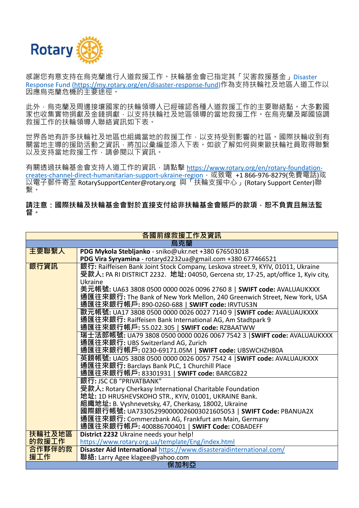

感謝您有意支持在烏克蘭進行人道救援工作。扶輪基金會已指定其「災害救援基金」Disaster Response Fund [\(https://my.rotary.org/en/disaster-response-fund\)](https://my.rotary.org/en/disaster-response-fund)作為支持扶輪社及地區人道工作以 因應烏克蘭危機的主要途徑。

此外,烏克蘭及周邊接壤國家的扶輪領導人已經確認各種人道救援工作的主要聯絡點。大多數國 家也收集實物捐獻及金錢捐獻,以支持扶輪社及地區領導的當地救援工作。在烏克蘭及鄰國協調 救援工作的扶輪領導人聯絡資訊如下表。

世界各地有許多扶輪社及地區也組織當地的救援工作,以支持受到影響的社區。國際扶輪收到有 關當地主導的援助活動之資訊,將加以彙編並添入下表。如欲了解如何與東歐扶輪社員取得聯繫 以及支持當地救援工作,請參閱以下資訊。

有關透過扶輪基金會支持人道工作的資訊,請點擊 [https://www.rotary.org/en/rotary-foundation](https://www.rotary.org/en/rotary-foundation-creates-channel-direct-humanitarian-support-ukraine-region)[creates-channel-direct-humanitarian-support-ukraine-region](https://www.rotary.org/en/rotary-foundation-creates-channel-direct-humanitarian-support-ukraine-region),或致電 +1 866-976-8279(免費電話)或 以電子郵件寄至 RotarySupportCenter@rotary.org 與「扶輪支援中心」(Rotary Support Center)聯 繫。

**請注意:國際扶輪及扶輪基金會對於直接支付給非扶輪基金會賬戶的款項,恕不負責且無法監 督。**

| 各國前線救援工作及資訊 |                                                                                                                |  |
|-------------|----------------------------------------------------------------------------------------------------------------|--|
| 烏克蘭         |                                                                                                                |  |
| 主要聯繫人       | PDG Mykola Stebljanko - sniko@ukr.net +380 676503018                                                           |  |
|             | PDG Vira Syryamina - rotaryd2232ua@gmail.com +380 677466521                                                    |  |
| 銀行資訊        | 銀行: Raiffeisen Bank Joint Stock Company, Leskova street.9, KYIV, 01011, Ukraine                                |  |
|             | 受款人: PA RI DISTRICT 2232. 地址: 04050, Gercena str, 17-25, apt/office 1, Kyiv city,                              |  |
|             | Ukraine                                                                                                        |  |
|             | 美元帳號: UA63 3808 0500 0000 0026 0096 2760 8   <b>SWIFT code:</b> AVALUAUKXXX                                    |  |
|             | 通匯往來銀行: The Bank of New York Mellon, 240 Greenwich Street, New York, USA                                       |  |
|             | 通匯往來銀行帳戶: 890-0260-688   <b>SWIFT code:</b> IRVTUS3N                                                           |  |
|             | 歐元帳號: UA17 3808 0500 0000 0026 0027 7140 9   <b>SWIFT code:</b> AVALUAUKXXX                                    |  |
|             | 通匯往來銀行: Raiffeisen Bank International AG, Am Stadtpark 9<br>通匯往來銀行帳戶: 55.022.305   <b>SWIFT code:</b> RZBAATWW |  |
|             | 瑞士法郎帳號: UA79 3808 0500 0000 0026 0067 7542 3   <b>SWIFT code:</b> AVALUAUKXXX                                  |  |
|             | 通匯往來銀行: UBS Switzerland AG, Zurich                                                                             |  |
|             | 通匯往來銀行帳戶: 0230-69171.05M   SWIFT code: UBSWCHZH80A                                                             |  |
|             | 英鎊帳號: UA05 3808 0500 0000 0026 0057 7542 4   <b>SWIFT code:</b> AVALUAUKXXX                                    |  |
|             | 通匯往來銀行: Barclays Bank PLC, 1 Churchill Place                                                                   |  |
|             | 通匯往來銀行帳戶: 83301931   <b>SWIFT code:</b> BARCGB22                                                               |  |
|             | 銀行: JSC CB "PRIVATBANK"                                                                                        |  |
|             | 受款人: Rotary Cherkasy International Charitable Foundation                                                       |  |
|             | 地址: 1D HRUSHEVSKOHO STR., KYIV, 01001, UKRAINE Bank.                                                           |  |
|             | 組織地址: B. Vyshnevetsky, 47, Cherkasy, 18002, Ukraine                                                            |  |
|             | 國際銀行帳號: UA733052990000026003021605053   <b>SWIFT Code:</b> PBANUA2X                                            |  |
|             | 通匯往來銀行: Commerzbank AG, Frankfurt am Main, Germany                                                             |  |
|             | 通匯往來銀行帳戶: 400886700401   <b>SWIFT Code:</b> COBADEFF                                                           |  |
| 扶輪社及地區      | District 2232 Ukraine needs your help!                                                                         |  |
| 的救援工作       | https://www.rotary.org.ua/template/Eng/index.html                                                              |  |
| 合作夥伴的救      | Disaster Aid International https://www.disasteraidinternational.com/                                           |  |
| 援工作         | 聯絡: Larry Agee klagee@yahoo.com                                                                                |  |
|             | 保加利亞                                                                                                           |  |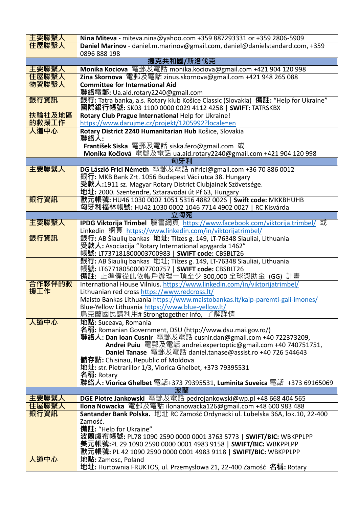| 主要聯繫人  | Nina Miteva - miteva.nina@yahoo.com +359 887293331 or +359 2806-5909                                                          |
|--------|-------------------------------------------------------------------------------------------------------------------------------|
| 住屋聯繫人  | Daniel Marinov - daniel.m.marinov@gmail.com, daniel@danielstandard.com, +359                                                  |
|        | 0896 888 198                                                                                                                  |
|        | 捷克共和國/斯洛伐克                                                                                                                    |
| 主要聯繫人  | Monika Kociova 電郵及電話 monika.kociova@gmail.com +421 904 120 998                                                                |
| 住屋聯繫人  | <b>Zina Skornova</b> 電郵及電話 zinus.skornova@gmail.com +421 948 265 088                                                          |
| 物資聯繫人  | <b>Committee for International Aid</b>                                                                                        |
|        | 聯絡電郵: Ua.aid.rotary2240@gmail.com                                                                                             |
| 銀行資訊   | 銀行: Tatra banka, a.s. Rotary klub Košice Classic (Slovakia) 備註: "Help for Ukraine"                                            |
|        | 國際銀行帳號: SK03 1100 0000 0029 4112 4258   <b>SWIFT</b> : TATRSKBX                                                               |
| 扶輪社及地區 | Rotary Club Prague International Help for Ukraine!                                                                            |
| 的救援工作  | https://www.darujme.cz/projekt/1205992?locale=en                                                                              |
| 人道中心   | Rotary District 2240 Humanitarian Hub Košice, Slovakia                                                                        |
|        | 聯絡人:                                                                                                                          |
|        | František Siska 電郵及電話 siska.fero@gmail.com 或                                                                                  |
|        | Monika Kočiová 電郵及電話 ua.aid.rotary2240@gmail.com +421 904 120 998                                                             |
| 主要聯繫人  | 匈牙利<br>DG László Frici Németh 電郵及電話 nlfrici@gmail.com +36 70 886 0012                                                         |
|        | 銀行: MKB Bank Zrt. 1056 Budapest Váci utca 38. Hungary                                                                         |
|        | 受款人:1911 sz. Magyar Rotary District Clubjainak Szövetsége.                                                                    |
|        | 地址: 2000. Szentendre, Sztaravodai út Pf 63, Hungary                                                                           |
| 銀行資訊   | 歐元帳號: HU46 1030 0002 1051 5316 4882 0026   Swift code: MKKBHUHB                                                               |
|        | 匈牙利福林帳號: HU42 1030 0002 1046 7714 4902 0027   RC Kisvárda                                                                     |
|        | 立陶宛                                                                                                                           |
| 主要聯繫人  | IPDG Viktorija Trimbel 臉書網頁 https://www.facebook.com/viktorija.trimbel/ 或                                                     |
|        | Linkedin 網頁 https://www.linkedin.com/in/viktorijatrimbel/                                                                     |
| 銀行資訊   | 銀行: AB Šiaulių bankas 地址: Tilzes g. 149, LT-76348 Siauliai, Lithuania                                                         |
|        | 受款人: Asociacija "Rotary International apygarda 1462"                                                                          |
|        | 帳號: LT737181800003700983   <b>SWIFT code:</b> CBSBLT26                                                                        |
|        | 銀行: AB Šiaulių bankas 地址; Tilzes g. 149, LT-76348 Siauliai, Lithuania                                                         |
|        | 帳號: LT677180500007700757   SWIFT code: CBSBLT26                                                                               |
| 合作夥伴的救 | <b>備註:</b> 正準備從此依帳戶辦理一項至少 300,000 全球獎助金 (GG) 計畫<br>International House Vilnius. https://www.linkedin.com/in/viktorijatrimbel/ |
| 援工作    | Lithuanian red cross https://www.redcross.lt/                                                                                 |
|        | Maisto Bankas Lithuania https://www.maistobankas.lt/kaip-paremti-gali-imones/                                                 |
|        | Blue-Yellow Lithuania https://www.blue-yellow.lt/                                                                             |
|        | 烏克蘭國民請利用# Strongtogether Info, 了解詳情                                                                                           |
| 人道中心   | 地點: Suceava, Romania                                                                                                          |
|        | 名稱: Romanian Government, DSU (http://www.dsu.mai.gov.ro/)                                                                     |
|        | 聯絡人: Dan Ioan Cusnir 電郵及電話 cusnir.dan@gmail.com +40 722373209,                                                                |
|        | Andrei Puiu 電郵及電話 andrei.expertoptic@gmail.com +40 740751751,                                                                 |
|        | Daniel Tanase 電郵及電話 daniel.tanase@assist.ro +40 726 544643                                                                    |
|        | 儲存點: Chisinau, Republic of Moldova                                                                                            |
|        | 地址: str. Pietrariilor 1/3, Viorica Ghelbet, +373 79395531                                                                     |
|        | 名稱: Rotary                                                                                                                    |
|        | 聯絡人: Viorica Ghelbet 電話+373 79395531, Luminita Suveica 電話 +373 69165069<br>波蘭                                                 |
| 主要聯繫人  | DGE Piotre Jankowski 電郵及電話 pedrojankowski@wp.pl +48 668 404 565                                                               |
| 住屋聯繫人  | <b>Ilona Nowacka</b> 電郵及電話 ilonanowacka126@gmail.com +48 600 983 488                                                          |
| 銀行資訊   | Santander Bank Polska. 地址 RC Zamość Ordynacki ul. Lubelska 36A, lok.10, 22-400                                                |
|        | Zamość.                                                                                                                       |
|        | 備註: "Help for Ukraine"                                                                                                        |
|        | 波蘭盧布帳號: PL78 1090 2590 0000 0001 3763 5773   <b>SWIFT/BIC:</b> WBKPPLPP                                                       |
|        | 美元帳號:PL 29 1090 2590 0000 0001 4983 9158   <b>SWIFT/BIC</b> : WBKPPLPP                                                        |
|        | 歐元帳號: PL 42 1090 2590 0000 0001 4983 9118   <b>SWIFT/BIC:</b> WBKPPLPP                                                        |
| 人道中心   | 地點: Zamosc, Poland                                                                                                            |
|        | 地址: Hurtownia FRUKTOS, ul. Przemysłowa 21, 22-400 Zamość 名稱: Rotary                                                           |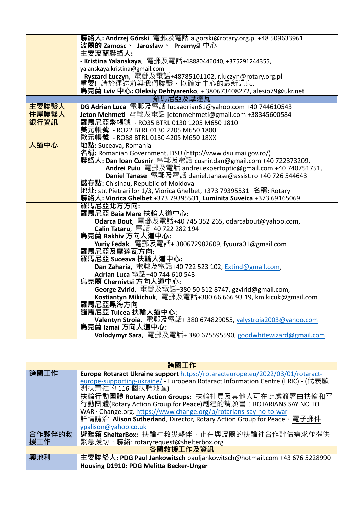|       | 聯絡人: Andrzej Górski 電郵及電話 a.gorski@rotary.org.pl +48 509633961                                                        |
|-------|-----------------------------------------------------------------------------------------------------------------------|
|       | 波蘭的 Zamosc、 Jarosław、 Przemyśl 中心                                                                                     |
|       | 主要波蘭聯絡人:                                                                                                              |
|       | - Kristina Yalanskaya, 電郵及電話+48880446040, +375291244355,                                                              |
|       | yalanskaya.kristina@gmail.com                                                                                         |
|       | - Ryszard Łuczyn, 電郵及電話+48785101102, r.luczyn@rotary.org.pl                                                           |
|       | 重要!請於運送前與我們聯繫,以確定中心的最新訊息.                                                                                             |
|       | 烏克蘭 Lviv 中心: Oleksiy Dehtyarenko, + 380673408272, alesio79@ukr.net                                                    |
|       | 羅馬尼亞及摩達瓦                                                                                                              |
| 主要聯繫人 | DG Adrian Luca 電郵及電話 lucaadrian61@yahoo.com +40 744610543                                                             |
| 住屋聯繫人 | Jeton Mehmeti 電郵及電話 jetonmehmeti@gmail.com +38345600584                                                               |
| 銀行資訊  | 羅馬尼亞幣帳號 -RO35 BTRL 0130 1205 M650 1810                                                                                |
|       | 美元帳號 - RO22 BTRL 0130 2205 M650 1800                                                                                  |
|       | 歐元帳號 - RO88 BTRL 0130 4205 M650 18XX                                                                                  |
| 人道中心  | 地點: Suceava, Romania                                                                                                  |
|       | 名稱: Romanian Government, DSU (http://www.dsu.mai.gov.ro/)                                                             |
|       | 聯絡人: Dan Ioan Cusnir 電郵及電話 cusnir.dan@gmail.com +40 722373209,                                                        |
|       | Andrei Puiu 電郵及電話 andrei.expertoptic@gmail.com +40 740751751,                                                         |
|       | Daniel Tanase 電郵及電話 daniel.tanase@assist.ro +40 726 544643                                                            |
|       | 儲存點: Chisinau, Republic of Moldova                                                                                    |
|       | 地址: str. Pietrariilor 1/3, Viorica Ghelbet, +373 79395531 名稱: Rotary                                                  |
|       | 聯絡人: Viorica Ghelbet +373                                 79395531, Luminita Suveica +373                    69165069 |
|       | 羅馬尼亞北方方向:                                                                                                             |
|       | 羅馬尼亞 Baia Mare 扶輪人道中心:                                                                                                |
|       | Odarca Bout, 電郵及電話+40 745 352 265, odarcabout@yahoo.com,                                                              |
|       | Calin Tataru, 電話+40 722 282 194                                                                                       |
|       | 烏克蘭 Rakhiv 方向人道中心:                                                                                                    |
|       | Yuriy Fedak, 電郵及電話+ 380672982609, fyuura01@gmail.com                                                                  |
|       | 羅馬尼亞及摩達瓦方向:                                                                                                           |
|       | 羅馬尼亞 Suceava 扶輪人道中心:                                                                                                  |
|       | <b>Dan Zaharia</b> , 電郵及電話+40 722 523 102, Extind@gmail.com,                                                          |
|       | Adrian Luca 電話+40 744 610 543                                                                                         |
|       | 烏克蘭 Chernivtsi 方向人道中心:                                                                                                |
|       | George Zvirid, 電郵及電話+380 50 512 8747, gzvirid@gmail.com,                                                              |
|       | Kostiantyn Mikichuk, 電郵及電話+380 66 666 93 19, kmikicuk@gmail.com<br>羅馬尼亞黑海方向                                           |
|       |                                                                                                                       |
|       | 羅馬尼亞 Tulcea 扶輪人道中心:                                                                                                   |
|       | Valentyn Stroia, 電郵及電話+ 380 674829055, <u>valystroia2003@yahoo.com</u><br>烏克蘭 Izmai 方向人道中心:                           |
|       |                                                                                                                       |
|       | Volodymyr Sara, 電郵及電話+ 380 675595590, goodwhitewizard@gmail.com                                                       |

| 跨國工作      |                                                                                                                    |
|-----------|--------------------------------------------------------------------------------------------------------------------|
| 跨國工作      | Europe Rotaract Ukraine support https://rotaracteurope.eu/2022/03/01/rotaract-                                     |
|           | europe-supporting-ukraine/ - European Rotaract Information Centre (ERIC) - (代表歐<br>洲扶青社的 116 個扶輪地區)                |
|           | 扶輪行動團體 Rotary Action Groups: 扶輪社員及其他人可在此處簽署由扶輪和平<br>行動團體(Rotary Action Group for Peace)創建的請願書: ROTARIANS SAY NO TO |
|           | WAR · Change.org. https://www.change.org/p/rotarians-say-no-to-war                                                 |
|           | 詳情請洽 Alison Sutherland, Director, Rotary Action Group for Peace, 電子郵件                                              |
|           | ypalison@yahoo.co.uk                                                                                               |
| 合作夥伴的救    | 避難箱 ShelterBox: 扶輪社救災夥伴,正在與波蘭的扶輪社合作評估需求並提供                                                                         |
| 援工作       | 緊急援助。聯絡: rotaryrequest@shelterbox.org                                                                              |
| 各國救援工作及資訊 |                                                                                                                    |
| 奧地利       | 主要聯絡人: PDG Paul Jankowitsch pauljankowitsch@hotmail.com +43 676 5228990                                            |
|           | Housing D1910: PDG Melitta Becker-Unger                                                                            |